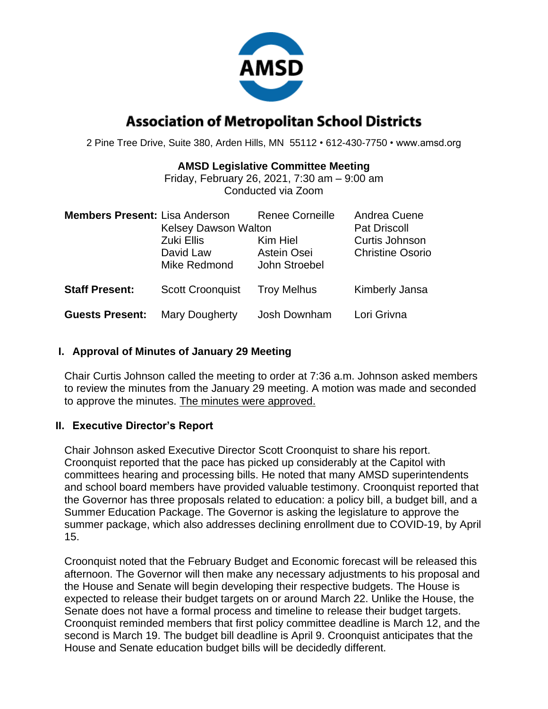

# **Association of Metropolitan School Districts**

2 Pine Tree Drive, Suite 380, Arden Hills, MN 55112 • 612-430-7750 • www.amsd.org

#### **AMSD Legislative Committee Meeting**

Friday, February 26, 2021, 7:30 am – 9:00 am Conducted via Zoom

| <b>Members Present: Lisa Anderson</b> | <b>Kelsey Dawson Walton</b><br>Zuki Ellis<br>David Law<br>Mike Redmond | <b>Renee Corneille</b><br>Kim Hiel<br>Astein Osei<br>John Stroebel | Andrea Cuene<br><b>Pat Driscoll</b><br>Curtis Johnson<br><b>Christine Osorio</b> |
|---------------------------------------|------------------------------------------------------------------------|--------------------------------------------------------------------|----------------------------------------------------------------------------------|
| <b>Staff Present:</b>                 | <b>Scott Croonquist</b>                                                | <b>Troy Melhus</b>                                                 | Kimberly Jansa                                                                   |
| <b>Guests Present:</b>                | Mary Dougherty                                                         | Josh Downham                                                       | Lori Grivna                                                                      |

### **I. Approval of Minutes of January 29 Meeting**

Chair Curtis Johnson called the meeting to order at 7:36 a.m. Johnson asked members to review the minutes from the January 29 meeting. A motion was made and seconded to approve the minutes. The minutes were approved.

### **II. Executive Director's Report**

Chair Johnson asked Executive Director Scott Croonquist to share his report. Croonquist reported that the pace has picked up considerably at the Capitol with committees hearing and processing bills. He noted that many AMSD superintendents and school board members have provided valuable testimony. Croonquist reported that the Governor has three proposals related to education: a policy bill, a budget bill, and a Summer Education Package. The Governor is asking the legislature to approve the summer package, which also addresses declining enrollment due to COVID-19, by April 15.

Croonquist noted that the February Budget and Economic forecast will be released this afternoon. The Governor will then make any necessary adjustments to his proposal and the House and Senate will begin developing their respective budgets. The House is expected to release their budget targets on or around March 22. Unlike the House, the Senate does not have a formal process and timeline to release their budget targets. Croonquist reminded members that first policy committee deadline is March 12, and the second is March 19. The budget bill deadline is April 9. Croonquist anticipates that the House and Senate education budget bills will be decidedly different.